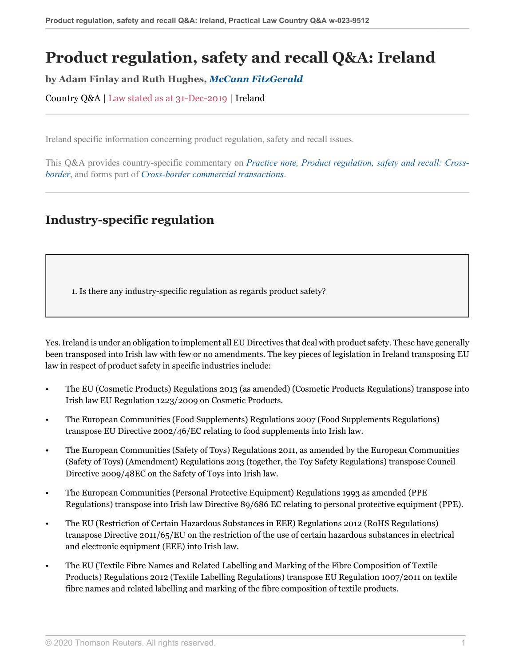# **Product regulation, safety and recall Q&A: Ireland**

**by Adam Finlay and Ruth Hughes,** *[McCann FitzGerald](https://uk.practicallaw.thomsonreuters.com/Browse/Home/About/Contributor/McCannFitzGerald )*

Country Q&A | Law stated as at 31-Dec-2019 | Ireland

Ireland specific information concerning product regulation, safety and recall issues.

This Q&A provides country-specific commentary on *[Practice note, Product regulation, safety and recall: Cross](http://uk.practicallaw.thomsonreuters.com/0-107-4325?originationContext=document&vr=3.0&rs=PLUK1.0&transitionType=DocumentItem&contextData=(sc.Default))[border](http://uk.practicallaw.thomsonreuters.com/0-107-4325?originationContext=document&vr=3.0&rs=PLUK1.0&transitionType=DocumentItem&contextData=(sc.Default))*, and forms part of *[Cross-border commercial transactions](https://uk.practicallaw.thomsonreuters.com/Browse/Home/International/Crossbordercommercialtransactions )*.

# **Industry-specific regulation**

<span id="page-0-0"></span>1. Is there any industry-specific regulation as regards product safety?

Yes. Ireland is under an obligation to implement all EU Directives that deal with product safety. These have generally been transposed into Irish law with few or no amendments. The key pieces of legislation in Ireland transposing EU law in respect of product safety in specific industries include:

- The EU (Cosmetic Products) Regulations 2013 (as amended) (Cosmetic Products Regulations) transpose into Irish law EU Regulation 1223/2009 on Cosmetic Products.
- The European Communities (Food Supplements) Regulations 2007 (Food Supplements Regulations) transpose EU Directive 2002/46/EC relating to food supplements into Irish law.
- The European Communities (Safety of Toys) Regulations 2011, as amended by the European Communities (Safety of Toys) (Amendment) Regulations 2013 (together, the Toy Safety Regulations) transpose Council Directive 2009/48EC on the Safety of Toys into Irish law.
- The European Communities (Personal Protective Equipment) Regulations 1993 as amended (PPE Regulations) transpose into Irish law Directive 89/686 EC relating to personal protective equipment (PPE).
- The EU (Restriction of Certain Hazardous Substances in EEE) Regulations 2012 (RoHS Regulations) transpose Directive 2011/65/EU on the restriction of the use of certain hazardous substances in electrical and electronic equipment (EEE) into Irish law.
- The EU (Textile Fibre Names and Related Labelling and Marking of the Fibre Composition of Textile Products) Regulations 2012 (Textile Labelling Regulations) transpose EU Regulation 1007/2011 on textile fibre names and related labelling and marking of the fibre composition of textile products.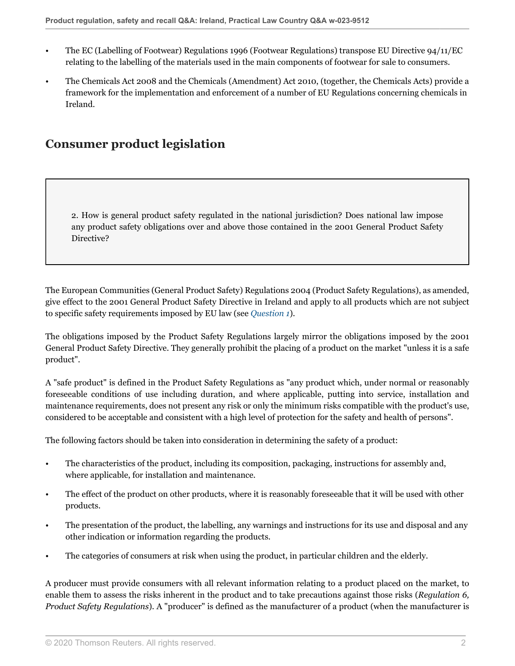- The EC (Labelling of Footwear) Regulations 1996 (Footwear Regulations) transpose EU Directive 94/11/EC relating to the labelling of the materials used in the main components of footwear for sale to consumers.
- The Chemicals Act 2008 and the Chemicals (Amendment) Act 2010, (together, the Chemicals Acts) provide a framework for the implementation and enforcement of a number of EU Regulations concerning chemicals in Ireland.

## **Consumer product legislation**

2. How is general product safety regulated in the national jurisdiction? Does national law impose any product safety obligations over and above those contained in the 2001 General Product Safety Directive?

The European Communities (General Product Safety) Regulations 2004 (Product Safety Regulations), as amended, give effect to the 2001 General Product Safety Directive in Ireland and apply to all products which are not subject to specific safety requirements imposed by EU law (see *[Question 1](#page-0-0)*).

The obligations imposed by the Product Safety Regulations largely mirror the obligations imposed by the 2001 General Product Safety Directive. They generally prohibit the placing of a product on the market "unless it is a safe product".

A "safe product" is defined in the Product Safety Regulations as "any product which, under normal or reasonably foreseeable conditions of use including duration, and where applicable, putting into service, installation and maintenance requirements, does not present any risk or only the minimum risks compatible with the product's use, considered to be acceptable and consistent with a high level of protection for the safety and health of persons".

The following factors should be taken into consideration in determining the safety of a product:

- The characteristics of the product, including its composition, packaging, instructions for assembly and, where applicable, for installation and maintenance.
- The effect of the product on other products, where it is reasonably foreseeable that it will be used with other products.
- The presentation of the product, the labelling, any warnings and instructions for its use and disposal and any other indication or information regarding the products.
- The categories of consumers at risk when using the product, in particular children and the elderly.

A producer must provide consumers with all relevant information relating to a product placed on the market, to enable them to assess the risks inherent in the product and to take precautions against those risks (*Regulation 6, Product Safety Regulations*). A "producer" is defined as the manufacturer of a product (when the manufacturer is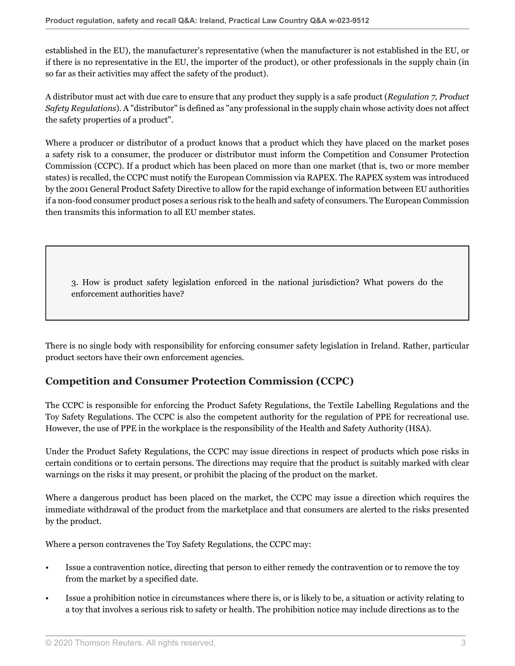established in the EU), the manufacturer's representative (when the manufacturer is not established in the EU, or if there is no representative in the EU, the importer of the product), or other professionals in the supply chain (in so far as their activities may affect the safety of the product).

A distributor must act with due care to ensure that any product they supply is a safe product (*Regulation 7, Product Safety Regulations*). A "distributor" is defined as "any professional in the supply chain whose activity does not affect the safety properties of a product".

Where a producer or distributor of a product knows that a product which they have placed on the market poses a safety risk to a consumer, the producer or distributor must inform the Competition and Consumer Protection Commission (CCPC). If a product which has been placed on more than one market (that is, two or more member states) is recalled, the CCPC must notify the European Commission via RAPEX. The RAPEX system was introduced by the 2001 General Product Safety Directive to allow for the rapid exchange of information between EU authorities if a non-food consumer product poses a serious risk to the healh and safety of consumers. The European Commission then transmits this information to all EU member states.

3. How is product safety legislation enforced in the national jurisdiction? What powers do the enforcement authorities have?

There is no single body with responsibility for enforcing consumer safety legislation in Ireland. Rather, particular product sectors have their own enforcement agencies.

## **Competition and Consumer Protection Commission (CCPC)**

The CCPC is responsible for enforcing the Product Safety Regulations, the Textile Labelling Regulations and the Toy Safety Regulations. The CCPC is also the competent authority for the regulation of PPE for recreational use. However, the use of PPE in the workplace is the responsibility of the Health and Safety Authority (HSA).

Under the Product Safety Regulations, the CCPC may issue directions in respect of products which pose risks in certain conditions or to certain persons. The directions may require that the product is suitably marked with clear warnings on the risks it may present, or prohibit the placing of the product on the market.

Where a dangerous product has been placed on the market, the CCPC may issue a direction which requires the immediate withdrawal of the product from the marketplace and that consumers are alerted to the risks presented by the product.

Where a person contravenes the Toy Safety Regulations, the CCPC may:

- Issue a contravention notice, directing that person to either remedy the contravention or to remove the toy from the market by a specified date.
- Issue a prohibition notice in circumstances where there is, or is likely to be, a situation or activity relating to a toy that involves a serious risk to safety or health. The prohibition notice may include directions as to the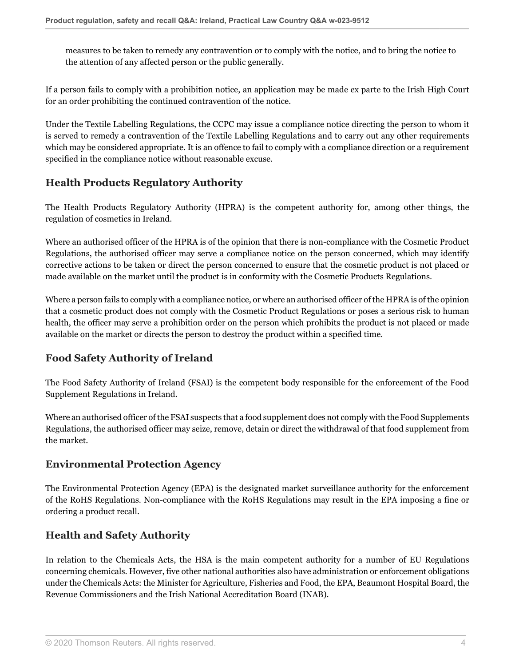measures to be taken to remedy any contravention or to comply with the notice, and to bring the notice to the attention of any affected person or the public generally.

If a person fails to comply with a prohibition notice, an application may be made ex parte to the Irish High Court for an order prohibiting the continued contravention of the notice.

Under the Textile Labelling Regulations, the CCPC may issue a compliance notice directing the person to whom it is served to remedy a contravention of the Textile Labelling Regulations and to carry out any other requirements which may be considered appropriate. It is an offence to fail to comply with a compliance direction or a requirement specified in the compliance notice without reasonable excuse.

## **Health Products Regulatory Authority**

The Health Products Regulatory Authority (HPRA) is the competent authority for, among other things, the regulation of cosmetics in Ireland.

Where an authorised officer of the HPRA is of the opinion that there is non-compliance with the Cosmetic Product Regulations, the authorised officer may serve a compliance notice on the person concerned, which may identify corrective actions to be taken or direct the person concerned to ensure that the cosmetic product is not placed or made available on the market until the product is in conformity with the Cosmetic Products Regulations.

Where a person fails to comply with a compliance notice, or where an authorised officer of the HPRA is of the opinion that a cosmetic product does not comply with the Cosmetic Product Regulations or poses a serious risk to human health, the officer may serve a prohibition order on the person which prohibits the product is not placed or made available on the market or directs the person to destroy the product within a specified time.

## **Food Safety Authority of Ireland**

The Food Safety Authority of Ireland (FSAI) is the competent body responsible for the enforcement of the Food Supplement Regulations in Ireland.

Where an authorised officer of the FSAI suspects that a food supplement does not comply with the Food Supplements Regulations, the authorised officer may seize, remove, detain or direct the withdrawal of that food supplement from the market.

## **Environmental Protection Agency**

The Environmental Protection Agency (EPA) is the designated market surveillance authority for the enforcement of the RoHS Regulations. Non-compliance with the RoHS Regulations may result in the EPA imposing a fine or ordering a product recall.

## **Health and Safety Authority**

In relation to the Chemicals Acts, the HSA is the main competent authority for a number of EU Regulations concerning chemicals. However, five other national authorities also have administration or enforcement obligations under the Chemicals Acts: the Minister for Agriculture, Fisheries and Food, the EPA, Beaumont Hospital Board, the Revenue Commissioners and the Irish National Accreditation Board (INAB).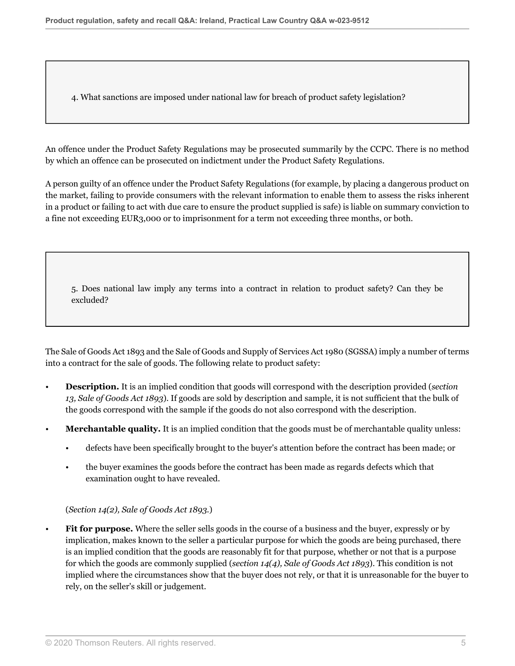<span id="page-4-0"></span>4. What sanctions are imposed under national law for breach of product safety legislation?

An offence under the Product Safety Regulations may be prosecuted summarily by the CCPC. There is no method by which an offence can be prosecuted on indictment under the Product Safety Regulations.

A person guilty of an offence under the Product Safety Regulations (for example, by placing a dangerous product on the market, failing to provide consumers with the relevant information to enable them to assess the risks inherent in a product or failing to act with due care to ensure the product supplied is safe) is liable on summary conviction to a fine not exceeding EUR3,000 or to imprisonment for a term not exceeding three months, or both.

5. Does national law imply any terms into a contract in relation to product safety? Can they be excluded?

The Sale of Goods Act 1893 and the Sale of Goods and Supply of Services Act 1980 (SGSSA) imply a number of terms into a contract for the sale of goods. The following relate to product safety:

- **Description.** It is an implied condition that goods will correspond with the description provided (*section 13, Sale of Goods Act 1893*). If goods are sold by description and sample, it is not sufficient that the bulk of the goods correspond with the sample if the goods do not also correspond with the description.
- **Merchantable quality.** It is an implied condition that the goods must be of merchantable quality unless:
	- defects have been specifically brought to the buyer's attention before the contract has been made; or
	- the buyer examines the goods before the contract has been made as regards defects which that examination ought to have revealed.

#### (*Section 14(2), Sale of Goods Act 1893.*)

• **Fit for purpose.** Where the seller sells goods in the course of a business and the buyer, expressly or by implication, makes known to the seller a particular purpose for which the goods are being purchased, there is an implied condition that the goods are reasonably fit for that purpose, whether or not that is a purpose for which the goods are commonly supplied (*section 14(4), Sale of Goods Act 1893*). This condition is not implied where the circumstances show that the buyer does not rely, or that it is unreasonable for the buyer to rely, on the seller's skill or judgement.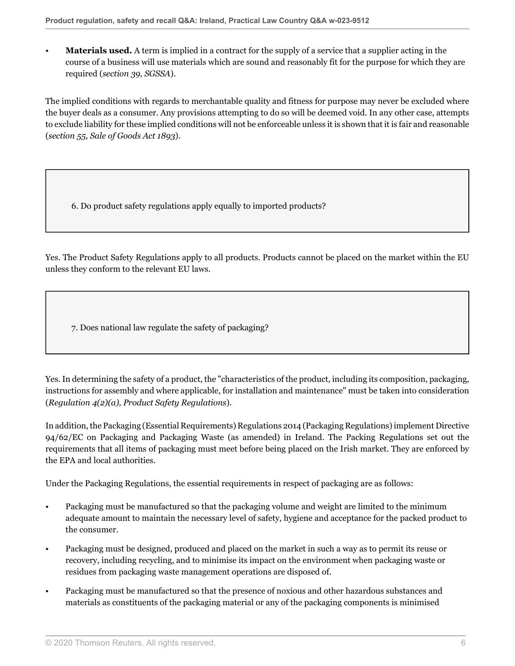• **Materials used.** A term is implied in a contract for the supply of a service that a supplier acting in the course of a business will use materials which are sound and reasonably fit for the purpose for which they are required (*section 39, SGSSA*).

The implied conditions with regards to merchantable quality and fitness for purpose may never be excluded where the buyer deals as a consumer. Any provisions attempting to do so will be deemed void. In any other case, attempts to exclude liability for these implied conditions will not be enforceable unless it is shown that it is fair and reasonable (*section 55, Sale of Goods Act 1893*).

6. Do product safety regulations apply equally to imported products?

Yes. The Product Safety Regulations apply to all products. Products cannot be placed on the market within the EU unless they conform to the relevant EU laws.

7. Does national law regulate the safety of packaging?

Yes. In determining the safety of a product, the "characteristics of the product, including its composition, packaging, instructions for assembly and where applicable, for installation and maintenance" must be taken into consideration (*Regulation 4(2)(a), Product Safety Regulations*).

In addition, the Packaging (Essential Requirements) Regulations 2014 (Packaging Regulations) implement Directive 94/62/EC on Packaging and Packaging Waste (as amended) in Ireland. The Packing Regulations set out the requirements that all items of packaging must meet before being placed on the Irish market. They are enforced by the EPA and local authorities.

Under the Packaging Regulations, the essential requirements in respect of packaging are as follows:

- Packaging must be manufactured so that the packaging volume and weight are limited to the minimum adequate amount to maintain the necessary level of safety, hygiene and acceptance for the packed product to the consumer.
- Packaging must be designed, produced and placed on the market in such a way as to permit its reuse or recovery, including recycling, and to minimise its impact on the environment when packaging waste or residues from packaging waste management operations are disposed of.
- Packaging must be manufactured so that the presence of noxious and other hazardous substances and materials as constituents of the packaging material or any of the packaging components is minimised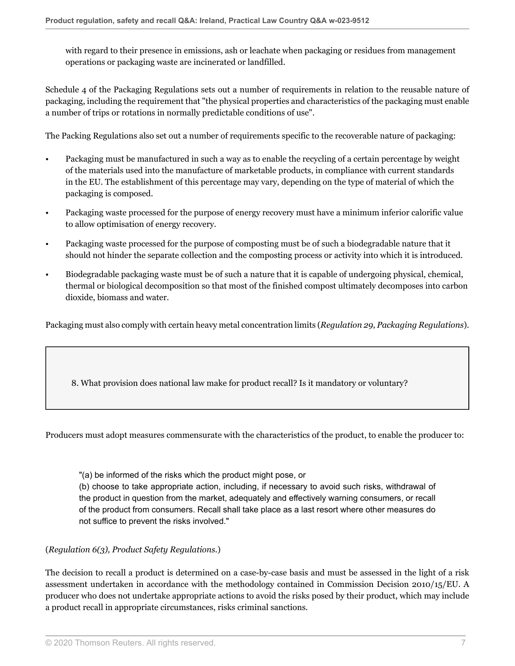with regard to their presence in emissions, ash or leachate when packaging or residues from management operations or packaging waste are incinerated or landfilled.

Schedule 4 of the Packaging Regulations sets out a number of requirements in relation to the reusable nature of packaging, including the requirement that "the physical properties and characteristics of the packaging must enable a number of trips or rotations in normally predictable conditions of use".

The Packing Regulations also set out a number of requirements specific to the recoverable nature of packaging:

- Packaging must be manufactured in such a way as to enable the recycling of a certain percentage by weight of the materials used into the manufacture of marketable products, in compliance with current standards in the EU. The establishment of this percentage may vary, depending on the type of material of which the packaging is composed.
- Packaging waste processed for the purpose of energy recovery must have a minimum inferior calorific value to allow optimisation of energy recovery.
- Packaging waste processed for the purpose of composting must be of such a biodegradable nature that it should not hinder the separate collection and the composting process or activity into which it is introduced.
- Biodegradable packaging waste must be of such a nature that it is capable of undergoing physical, chemical, thermal or biological decomposition so that most of the finished compost ultimately decomposes into carbon dioxide, biomass and water.

Packaging must also comply with certain heavy metal concentration limits (*Regulation 29, Packaging Regulations*).

8. What provision does national law make for product recall? Is it mandatory or voluntary?

Producers must adopt measures commensurate with the characteristics of the product, to enable the producer to:

"(a) be informed of the risks which the product might pose, or

(b) choose to take appropriate action, including, if necessary to avoid such risks, withdrawal of the product in question from the market, adequately and effectively warning consumers, or recall of the product from consumers. Recall shall take place as a last resort where other measures do not suffice to prevent the risks involved."

#### (*Regulation 6(3), Product Safety Regulations.*)

The decision to recall a product is determined on a case-by-case basis and must be assessed in the light of a risk assessment undertaken in accordance with the methodology contained in Commission Decision 2010/15/EU. A producer who does not undertake appropriate actions to avoid the risks posed by their product, which may include a product recall in appropriate circumstances, risks criminal sanctions.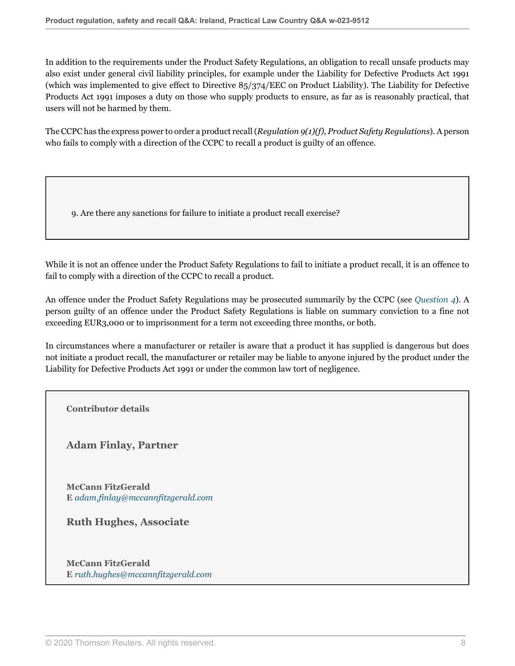In addition to the requirements under the Product Safety Regulations, an obligation to recall unsafe products may also exist under general civil liability principles, for example under the Liability for Defective Products Act 1991 (which was implemented to give effect to Directive 85/374/EEC on Product Liability). The Liability for Defective Products Act 1991 imposes a duty on those who supply products to ensure, as far as is reasonably practical, that users will not be harmed by them.

The CCPC has the express power to order a product recall (*Regulation 9(1)(f), Product Safety Regulations*). A person who fails to comply with a direction of the CCPC to recall a product is guilty of an offence.

9. Are there any sanctions for failure to initiate a product recall exercise?

While it is not an offence under the Product Safety Regulations to fail to initiate a product recall, it is an offence to fail to comply with a direction of the CCPC to recall a product.

An offence under the Product Safety Regulations may be prosecuted summarily by the CCPC (see *[Question 4](#page-4-0)*). A person guilty of an offence under the Product Safety Regulations is liable on summary conviction to a fine not exceeding EUR3,000 or to imprisonment for a term not exceeding three months, or both.

In circumstances where a manufacturer or retailer is aware that a product it has supplied is dangerous but does not initiate a product recall, the manufacturer or retailer may be liable to anyone injured by the product under the Liability for Defective Products Act 1991 or under the common law tort of negligence.

**Contributor details**

**Adam Finlay, Partner**

**McCann FitzGerald E** *[adam.finlay@mccannfitzgerald.com](mailto:adam.finlay@mccannfitzgerald.com)*

**Ruth Hughes, Associate**

**McCann FitzGerald E** *[ruth.hughes@mccannfitzgerald.com](mailto:ruth.hughes@mccannfitzgerald.com)*